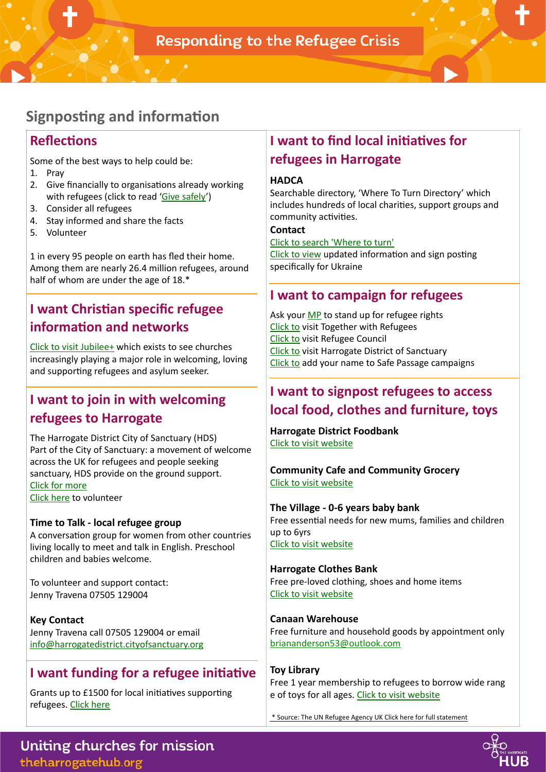## **Signposting and information**

### **Reflections**

Some of the best ways to help could be:

- 1. Pray
- 2. Give financially to organisations already working with refugees (click to read ['Give safely](https://www.gov.uk/government/news/regulators-urge-safe-giving-to-support-ukraine)')
- 3. Consider all refugees
- 4. Stay informed and share the facts
- 5. Volunteer

1 in every 95 people on earth has fled their home. Among them are nearly 26.4 million refugees, around half of whom are under the age of 18.\*

# **I want Christian specific refugee information and networks**

[Click to visit Jubilee+](https://jubilee-plus.org/refugee-network/) which exists to see churches increasingly playing a major role in welcoming, loving and supporting refugees and asylum seeker.

### **I want to join in with welcoming refugees to Harrogate**

The Harrogate District City of Sanctuary (HDS) Part of the City of Sanctuary: a movement of welcome across the UK for refugees and people seeking sanctuary, HDS provide on the ground support. [Click for more](https://harrogatedistrict.cityofsanctuary.org)  [Click here](https://harrogatedistrict.cityofsanctuary.org/?fbclid=IwAR3couE1Tqp28QKEtML9HfgaW7PrsP5zUEjR44kAyiJ9RGHPgRTekEOVetU) to volunteer

#### **Time to Talk - local refugee group**

A conversation group for women from other countries living locally to meet and talk in English. Preschool children and babies welcome.

To volunteer and support contact: Jenny Travena 07505 129004

#### **Key Contact**  Jenny Travena call 07505 129004 or email [info@harrogatedistrict.cityofsanctuary.org](mailto:info@harrogatedistrict.cityofsanctuary.org)

### **I** want funding for a refugee initiative

Grants up to £1500 for local initiatives supporting refugees. [Click here](https://www.asdafoundation.org/documents/Refugee-Support-Grant-Group-Guidance.pdf)

### **I want to find local initiatives for refugees in Harrogate**

#### **HADCA**

Searchable directory, 'Where To Turn Directory' which includes hundreds of local charities, support groups and community activities.

#### **Contact**

[Click to search 'Where to turn'](https://hadca.org.uk/wheretoturn)

[Click to view](https://hadca.org.uk/news/supporting-ukraine) updated information and sign posting specifically for Ukraine

### **I want to campaign for refugees**

Ask your [MP](https://www.theyworkforyou.com/mps/) to stand up for refugee rights [Click to](https://togetherwithrefugees.org.uk/) visit Together with Refugees [Click to](https://act.refugeecouncil.org.uk/campaign/urgent-ask-your-mp-stand-refugee-rights-0) visit [Refugee Council](https://act.refugeecouncil.org.uk/campaign/urgent-ask-your-mp-stand-refugee-rights-0)  [Click to](https://harrogatedistrict.cityofsanctuary.org) visit [Harrogate District of Sanctuary](https://harrogatedistrict.cityofsanctuary.org) [Click to](https://www.safepassage.org.uk/) add your name to Safe Passage campaigns

### **I want to signpost refugees to access local food, clothes and furniture, toys**

**Harrogate District Foodbank**  [Click to visit website](https://www.trusselltrust.org/get-help/find-a-foodbank/) 

#### **Community Cafe and Community Grocery** [Click to visit website](https://resurrectedbites.co.uk)

**The Village - 0-6 years baby bank**  Free essential needs for new mums, families and children up to 6yrs [Click to visit website](https://www.thevillageharrogate.co.uk)

#### **Harrogate Clothes Bank**  Free pre-loved clothing, shoes and home items [Click to visit website](https://harrogateclothesbank.co.uk/)

**Canaan Warehouse**  Free furniture and household goods by appointment only [briananderson53@outlook.com](mailto:briananderson53@outlook.com)

#### **Toy Library**  Free 1 year membership to refugees to borrow wide rang [e of toys for all ages. Click to visit website](https://www.hktl.org/library)

\* Source: The UN Refugee Agency UK Click here for full statement



Uniting churches for mission theharrogatehub.org